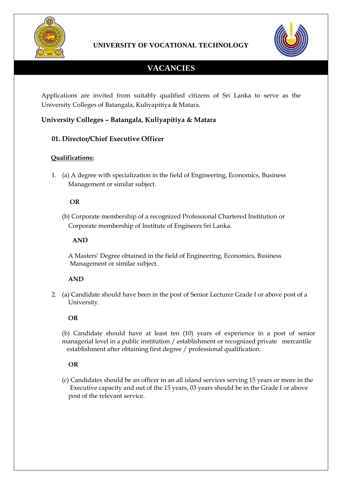



# **VACANCIES**

Applications are invited from suitably qualified citizens of Sri Lanka to serve as the University Colleges of Batangala, Kuliyapitiya & Matara.

# **University Colleges – Batangala, Kuliyapitiya & Matara**

# **01. Director/Chief Executive Officer**

# **Qualifications:**

1. (a) A degree with specialization in the field of Engineering, Economics, Business Management or similar subject.

## **OR**

(b) Corporate membership of a recognized Professional Chartered Institution or Corporate membership of Institute of Engineers Sri Lanka.

#### **AND**

 A Masters' Degree obtained in the field of Engineering, Economics, Business Management or similar subject.

## **AND**

2. (a) Candidate should have been in the post of Senior Lecturer Grade I or above post of a University.

## **OR**

(b) Candidate should have at least ten (10) years of experience in a post of senior managerial level in a public institution / establishment or recognized private mercantile establishment after obtaining first degree / professional qualification.

## **OR**

 (c) Candidates should be an officer in an all island services serving 15 years or more in the Executive capacity and out of the 15 years, 03 years should be in the Grade I or above post of the relevant service.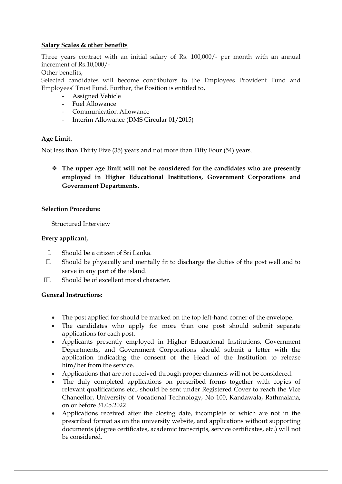#### **Salary Scales & other benefits**

Three years contract with an initial salary of Rs. 100,000/- per month with an annual increment of Rs.10,000/-

Other benefits,

Selected candidates will become contributors to the Employees Provident Fund and Employees' Trust Fund. Further, the Position is entitled to,

- Assigned Vehicle
- Fuel Allowance
- Communication Allowance
- Interim Allowance (DMS Circular 01/2015)

#### **Age Limit.**

Not less than Thirty Five (35) years and not more than Fifty Four (54) years.

 **The upper age limit will not be considered for the candidates who are presently employed in Higher Educational Institutions, Government Corporations and Government Departments.**

#### **Selection Procedure:**

Structured Interview

#### **Every applicant,**

- I. Should be a citizen of Sri Lanka.
- II. Should be physically and mentally fit to discharge the duties of the post well and to serve in any part of the island.
- III. Should be of excellent moral character.

#### **General Instructions:**

- The post applied for should be marked on the top left-hand corner of the envelope.
- The candidates who apply for more than one post should submit separate applications for each post.
- Applicants presently employed in Higher Educational Institutions, Government Departments, and Government Corporations should submit a letter with the application indicating the consent of the Head of the Institution to release him/her from the service.
- Applications that are not received through proper channels will not be considered.
- The duly completed applications on prescribed forms together with copies of relevant qualifications etc., should be sent under Registered Cover to reach the Vice Chancellor, University of Vocational Technology, No 100, Kandawala, Rathmalana, on or before 31.05.2022
- Applications received after the closing date, incomplete or which are not in the prescribed format as on the university website, and applications without supporting documents (degree certificates, academic transcripts, service certificates, etc.) will not be considered.